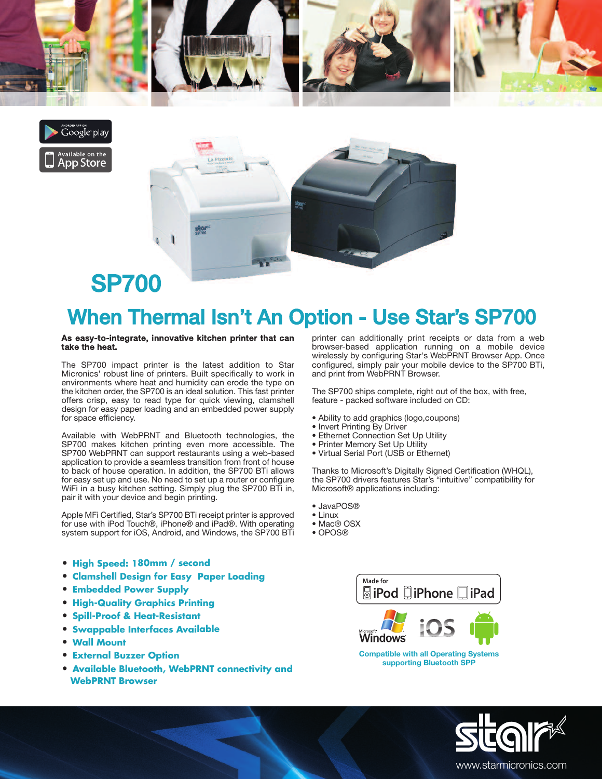





## SP700

## When Thermal Isn't An Option - Use Star's SP700

## **As easy-to-integrate, innovative kitchen printer that can take the heat.**

The SP700 impact printer is the latest addition to Star Micronics' robust line of printers. Built specifically to work in environments where heat and humidity can erode the type on the kitchen order, the SP700 is an ideal solution. This fast printer offers crisp, easy to read type for quick viewing, clamshell design for easy paper loading and an embedded power supply for space efficiency.

Available with WebPRNT and Bluetooth technologies, the SP700 makes kitchen printing even more accessible. The SP700 WebPRNT can support restaurants using a web-based application to provide a seamless transition from front of house to back of house operation. In addition, the SP700 BTi allows for easy set up and use. No need to set up a router or configure WiFi in a busy kitchen setting. Simply plug the SP700 BTi in, pair it with your device and begin printing.

Apple MFi Certified, Star's SP700 BTi receipt printer is approved for use with iPod Touch®, iPhone® and iPad®. With operating system support for iOS, Android, and Windows, the SP700 BTi

- **• High Speed: 180mm / second**
- **• Clamshell Design for Easy Paper Loading**
- **• Embedded Power Supply**
- **• High-Quality Graphics Printing**
- **• Spill-Proof & Heat-Resistant**
- **• Swappable Interfaces Available**
- **• Wall Mount**
- **• External Buzzer Option**
- **• Available Bluetooth, WebPRNT connectivity and WebPRNT Browser**

printer can additionally print receipts or data from a web browser-based application running on a mobile device wirelessly by configuring Star's WebPRNT Browser App. Once configured, simply pair your mobile device to the SP700 BTi, and print from WebPRNT Browser.

The SP700 ships complete, right out of the box, with free, feature - packed software included on CD:

- Ability to add graphics (logo,coupons)
- Invert Printing By Driver
- Ethernet Connection Set Up Utility
- Printer Memory Set Up Utility
- Virtual Serial Port (USB or Ethernet)

Thanks to Microsoft's Digitally Signed Certification (WHQL), the SP700 drivers features Star's "intuitive" compatibility for Microsoft® applications including:

- JavaPOS®
- Linux
- Mac® OSX
- OPOS®